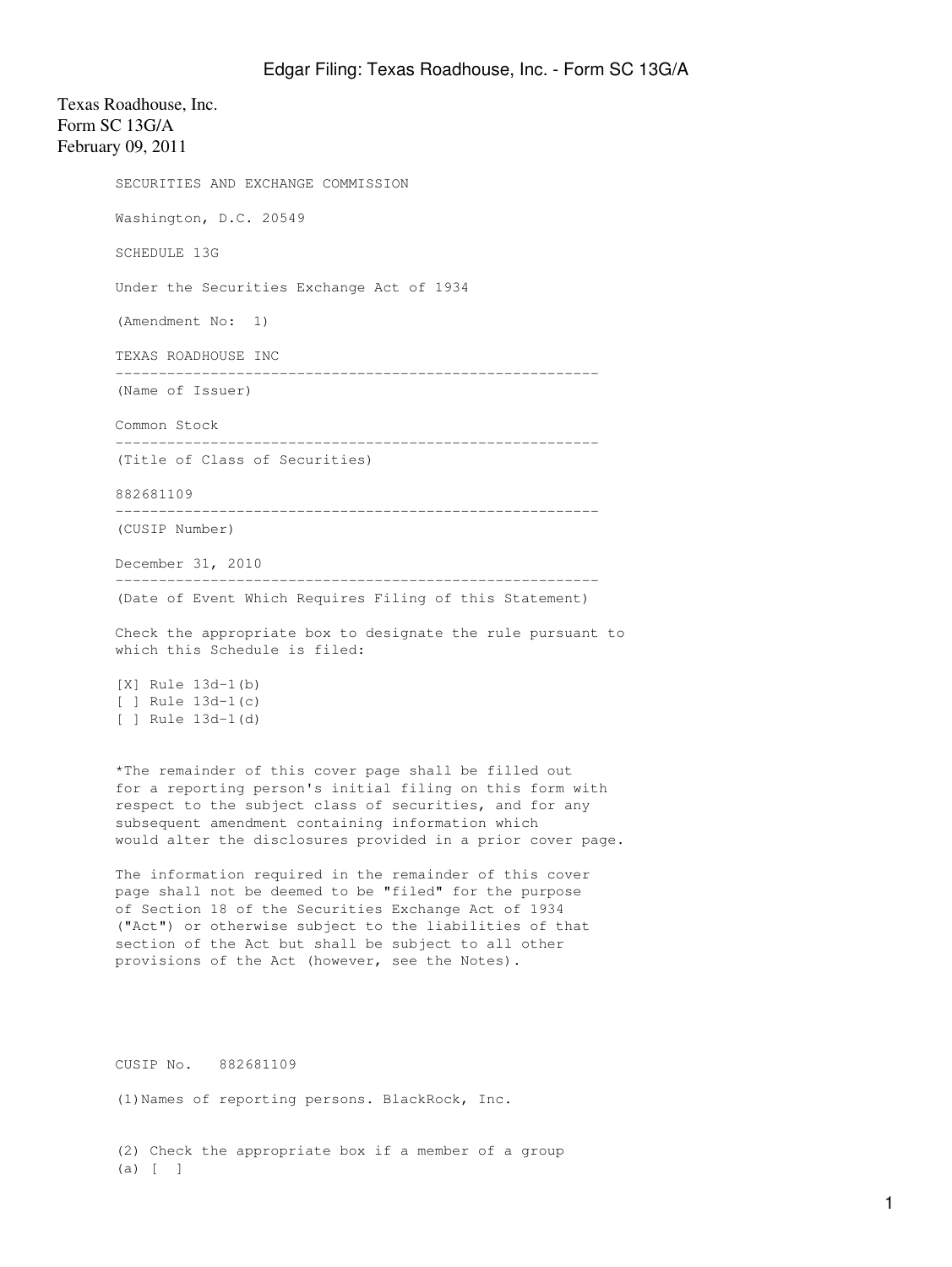Texas Roadhouse, Inc. Form SC 13G/A February 09, 2011 SECURITIES AND EXCHANGE COMMISSION Washington, D.C. 20549 SCHEDULE 13G Under the Securities Exchange Act of 1934 (Amendment No: 1) TEXAS ROADHOUSE INC -------------------------------------------------------- (Name of Issuer) Common Stock -------------------------------------------------------- (Title of Class of Securities) 882681109 -------------------------------------------------------- (CUSIP Number) December 31, 2010 -------------------------------------------------------- (Date of Event Which Requires Filing of this Statement) Check the appropriate box to designate the rule pursuant to which this Schedule is filed: [X] Rule 13d-1(b) [ ] Rule 13d-1(c) [ ] Rule 13d-1(d) \*The remainder of this cover page shall be filled out for a reporting person's initial filing on this form with respect to the subject class of securities, and for any subsequent amendment containing information which would alter the disclosures provided in a prior cover page. The information required in the remainder of this cover page shall not be deemed to be "filed" for the purpose of Section 18 of the Securities Exchange Act of 1934 ("Act") or otherwise subject to the liabilities of that section of the Act but shall be subject to all other provisions of the Act (however, see the Notes). CUSIP No. 882681109 (1)Names of reporting persons. BlackRock, Inc. (2) Check the appropriate box if a member of a group

(a) [ ]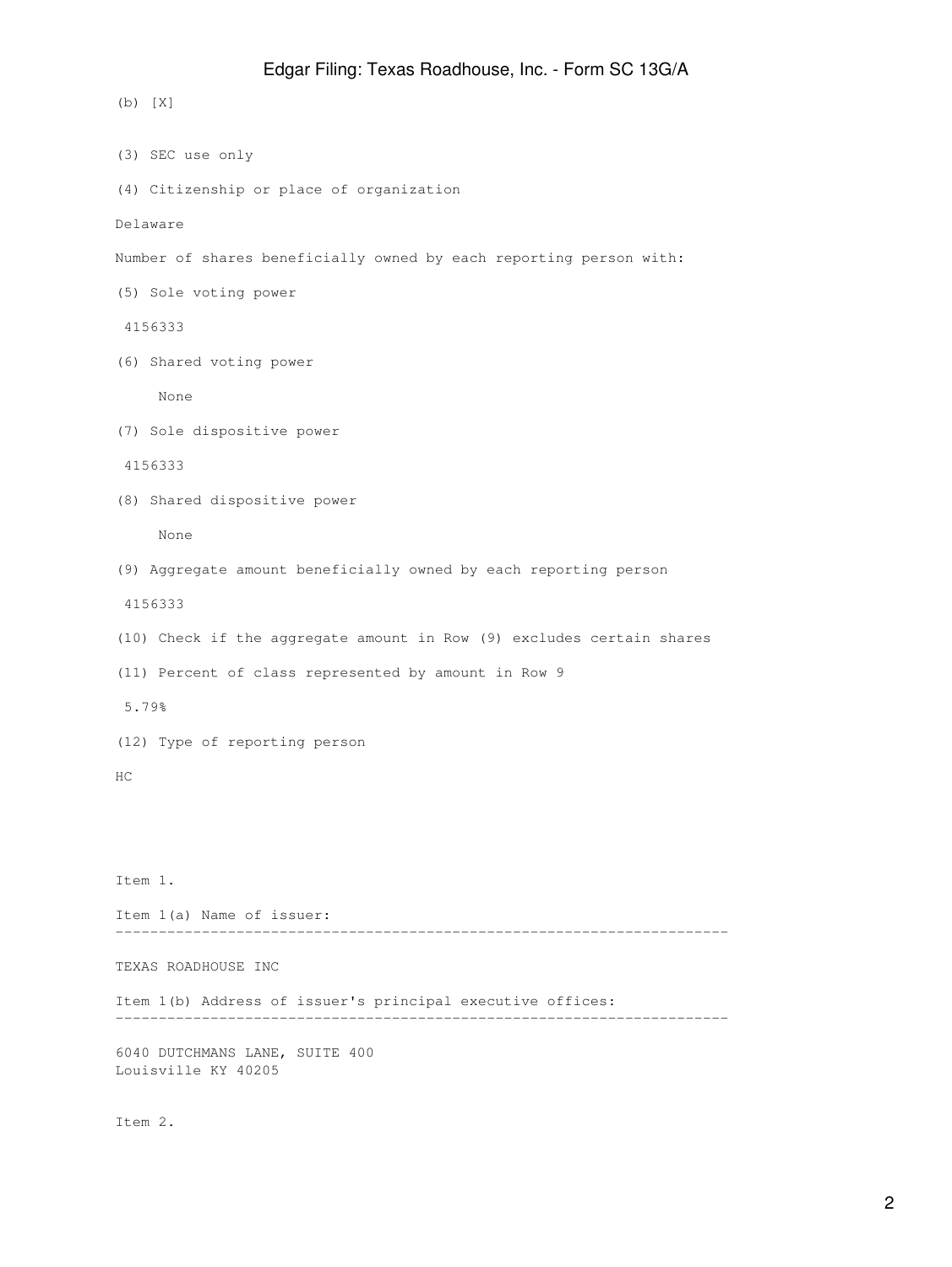(b) [X] (3) SEC use only (4) Citizenship or place of organization Delaware Number of shares beneficially owned by each reporting person with: (5) Sole voting power 4156333 (6) Shared voting power None (7) Sole dispositive power 4156333 (8) Shared dispositive power None (9) Aggregate amount beneficially owned by each reporting person 4156333 (10) Check if the aggregate amount in Row (9) excludes certain shares (11) Percent of class represented by amount in Row 9 5.79% (12) Type of reporting person HC Item 1. Item 1(a) Name of issuer: ----------------------------------------------------------------------- TEXAS ROADHOUSE INC Item 1(b) Address of issuer's principal executive offices: Edgar Filing: Texas Roadhouse, Inc. - Form SC 13G/A

-----------------------------------------------------------------------

6040 DUTCHMANS LANE, SUITE 400 Louisville KY 40205

Item 2.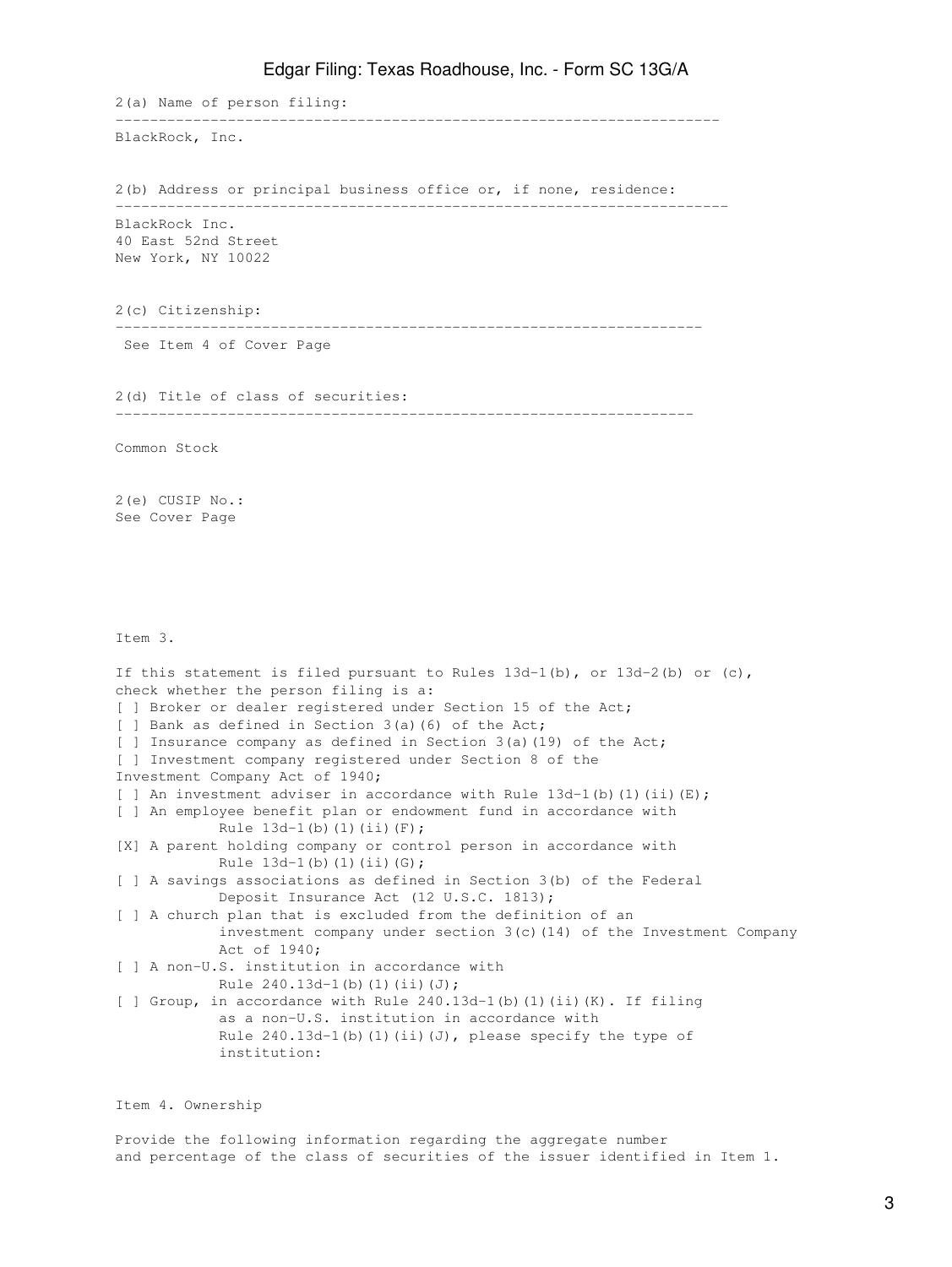## Edgar Filing: Texas Roadhouse, Inc. - Form SC 13G/A

2(a) Name of person filing: ---------------------------------------------------------------------- BlackRock, Inc. 2(b) Address or principal business office or, if none, residence: ----------------------------------------------------------------------- BlackRock Inc. 40 East 52nd Street New York, NY 10022 2(c) Citizenship: -------------------------------------------------------------------- See Item 4 of Cover Page 2(d) Title of class of securities: ------------------------------------------------------------------- Common Stock 2(e) CUSIP No.: See Cover Page Item 3. If this statement is filed pursuant to Rules  $13d-1(b)$ , or  $13d-2(b)$  or (c), check whether the person filing is a: [ ] Broker or dealer registered under Section 15 of the Act; [ ] Bank as defined in Section 3(a)(6) of the Act; [ ] Insurance company as defined in Section 3(a)(19) of the Act; [ ] Investment company registered under Section 8 of the Investment Company Act of 1940; [ ] An investment adviser in accordance with Rule  $13d-1$  (b) (1) (ii) (E); [ ] An employee benefit plan or endowment fund in accordance with Rule  $13d-1(b)$  (1)(ii)(F); [X] A parent holding company or control person in accordance with Rule 13d-1(b)(1)(ii)(G); [ ] A savings associations as defined in Section 3(b) of the Federal Deposit Insurance Act (12 U.S.C. 1813); [ ] A church plan that is excluded from the definition of an investment company under section  $3(c)$  (14) of the Investment Company Act of 1940; [ ] A non-U.S. institution in accordance with Rule  $240.13d-1(b)(1)(ii)(J);$ [ ] Group, in accordance with Rule 240.13d-1(b)(1)(ii)(K). If filing as a non-U.S. institution in accordance with Rule  $240.13d-1$ (b)(1)(ii)(J), please specify the type of institution:

Item 4. Ownership

Provide the following information regarding the aggregate number and percentage of the class of securities of the issuer identified in Item 1.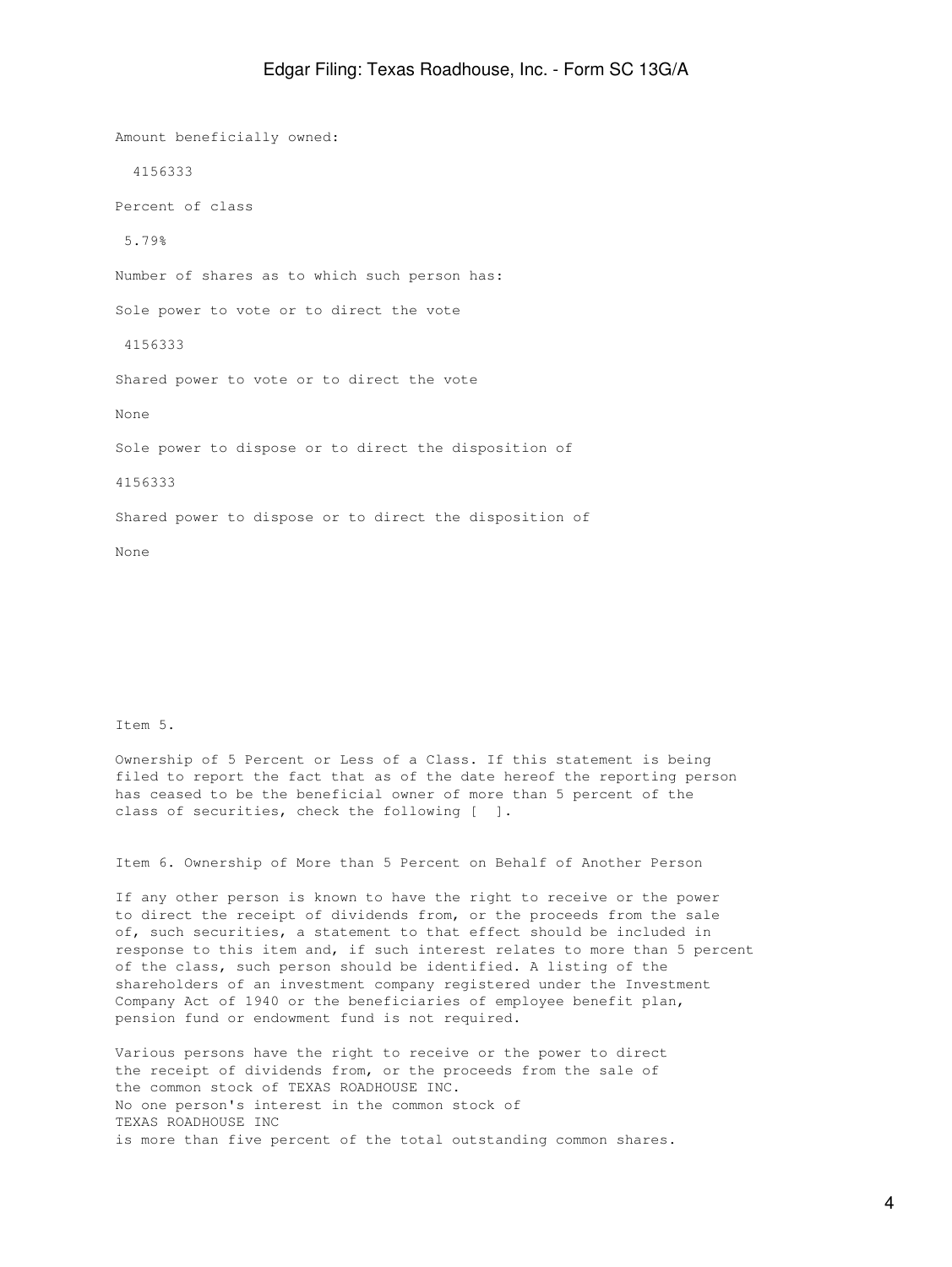Amount beneficially owned: 4156333 Percent of class 5.79% Number of shares as to which such person has: Sole power to vote or to direct the vote 4156333 Shared power to vote or to direct the vote None Sole power to dispose or to direct the disposition of 4156333 Shared power to dispose or to direct the disposition of

Item 5.

None

Ownership of 5 Percent or Less of a Class. If this statement is being filed to report the fact that as of the date hereof the reporting person has ceased to be the beneficial owner of more than 5 percent of the class of securities, check the following [ ].

Item 6. Ownership of More than 5 Percent on Behalf of Another Person

If any other person is known to have the right to receive or the power to direct the receipt of dividends from, or the proceeds from the sale of, such securities, a statement to that effect should be included in response to this item and, if such interest relates to more than 5 percent of the class, such person should be identified. A listing of the shareholders of an investment company registered under the Investment Company Act of 1940 or the beneficiaries of employee benefit plan, pension fund or endowment fund is not required.

Various persons have the right to receive or the power to direct the receipt of dividends from, or the proceeds from the sale of the common stock of TEXAS ROADHOUSE INC. No one person's interest in the common stock of TEXAS ROADHOUSE INC is more than five percent of the total outstanding common shares.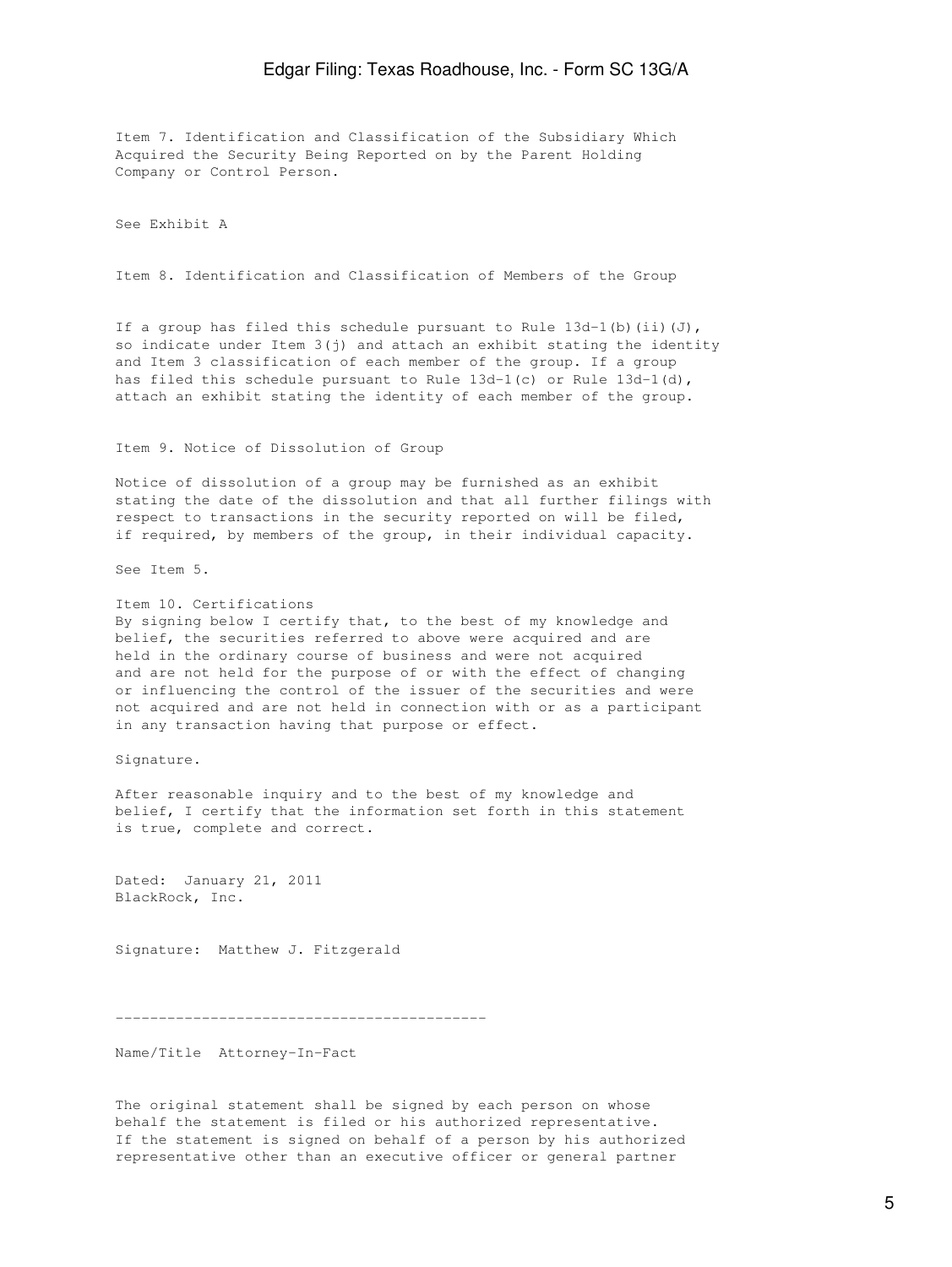Item 7. Identification and Classification of the Subsidiary Which Acquired the Security Being Reported on by the Parent Holding Company or Control Person.

See Exhibit A

Item 8. Identification and Classification of Members of the Group

If a group has filed this schedule pursuant to Rule  $13d-1$  (b) (ii)(J), so indicate under Item 3(j) and attach an exhibit stating the identity and Item 3 classification of each member of the group. If a group has filed this schedule pursuant to Rule 13d-1(c) or Rule 13d-1(d), attach an exhibit stating the identity of each member of the group.

Item 9. Notice of Dissolution of Group

Notice of dissolution of a group may be furnished as an exhibit stating the date of the dissolution and that all further filings with respect to transactions in the security reported on will be filed, if required, by members of the group, in their individual capacity.

See Item 5.

Item 10. Certifications By signing below I certify that, to the best of my knowledge and belief, the securities referred to above were acquired and are held in the ordinary course of business and were not acquired and are not held for the purpose of or with the effect of changing or influencing the control of the issuer of the securities and were not acquired and are not held in connection with or as a participant in any transaction having that purpose or effect.

Signature.

After reasonable inquiry and to the best of my knowledge and belief, I certify that the information set forth in this statement is true, complete and correct.

Dated: January 21, 2011 BlackRock, Inc.

Signature: Matthew J. Fitzgerald

-------------------------------------------

Name/Title Attorney-In-Fact

The original statement shall be signed by each person on whose behalf the statement is filed or his authorized representative. If the statement is signed on behalf of a person by his authorized representative other than an executive officer or general partner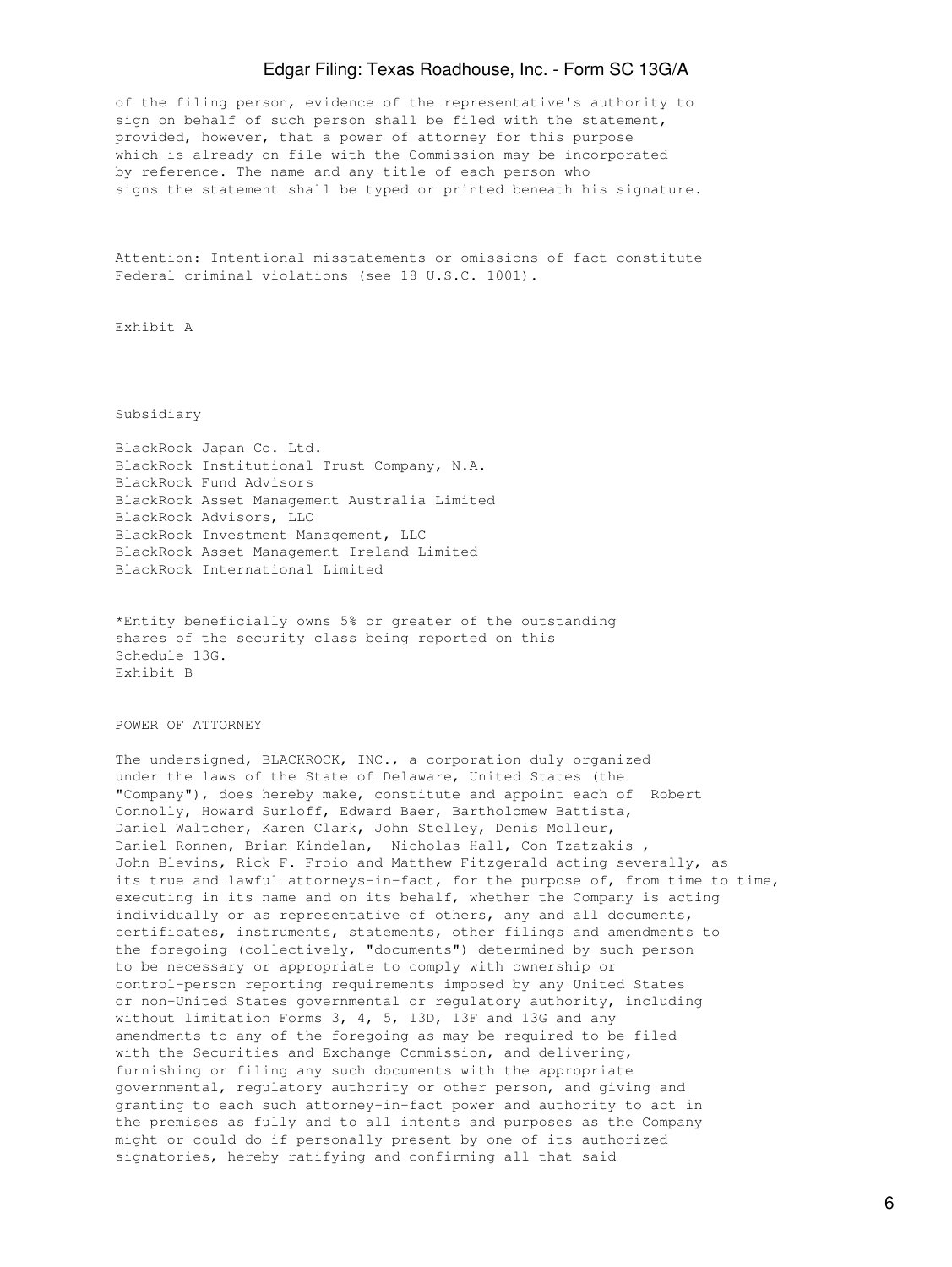## Edgar Filing: Texas Roadhouse, Inc. - Form SC 13G/A

of the filing person, evidence of the representative's authority to sign on behalf of such person shall be filed with the statement, provided, however, that a power of attorney for this purpose which is already on file with the Commission may be incorporated by reference. The name and any title of each person who signs the statement shall be typed or printed beneath his signature.

Attention: Intentional misstatements or omissions of fact constitute Federal criminal violations (see 18 U.S.C. 1001).

Exhibit A

Subsidiary

BlackRock Japan Co. Ltd. BlackRock Institutional Trust Company, N.A. BlackRock Fund Advisors BlackRock Asset Management Australia Limited BlackRock Advisors, LLC BlackRock Investment Management, LLC BlackRock Asset Management Ireland Limited BlackRock International Limited

\*Entity beneficially owns 5% or greater of the outstanding shares of the security class being reported on this Schedule 13G. Exhibit B

POWER OF ATTORNEY

The undersigned, BLACKROCK, INC., a corporation duly organized under the laws of the State of Delaware, United States (the "Company"), does hereby make, constitute and appoint each of Robert Connolly, Howard Surloff, Edward Baer, Bartholomew Battista, Daniel Waltcher, Karen Clark, John Stelley, Denis Molleur, Daniel Ronnen, Brian Kindelan, Nicholas Hall, Con Tzatzakis , John Blevins, Rick F. Froio and Matthew Fitzgerald acting severally, as its true and lawful attorneys-in-fact, for the purpose of, from time to time, executing in its name and on its behalf, whether the Company is acting individually or as representative of others, any and all documents, certificates, instruments, statements, other filings and amendments to the foregoing (collectively, "documents") determined by such person to be necessary or appropriate to comply with ownership or control-person reporting requirements imposed by any United States or non-United States governmental or regulatory authority, including without limitation Forms 3, 4, 5, 13D, 13F and 13G and any amendments to any of the foregoing as may be required to be filed with the Securities and Exchange Commission, and delivering, furnishing or filing any such documents with the appropriate governmental, regulatory authority or other person, and giving and granting to each such attorney-in-fact power and authority to act in the premises as fully and to all intents and purposes as the Company might or could do if personally present by one of its authorized signatories, hereby ratifying and confirming all that said